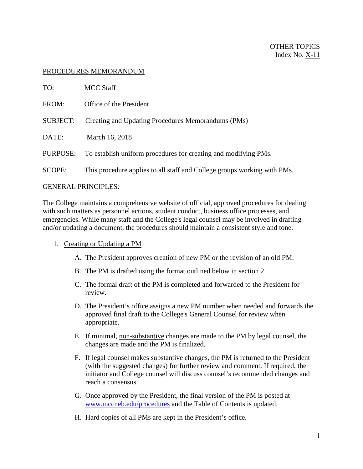## PROCEDURES MEMORANDUM

| TO:                        | <b>MCC</b> Staff                                                         |
|----------------------------|--------------------------------------------------------------------------|
| FROM:                      | Office of the President                                                  |
| <b>SUBJECT:</b>            | Creating and Updating Procedures Memorandums (PMs)                       |
| DATE:                      | March 16, 2018                                                           |
| PURPOSE:                   | To establish uniform procedures for creating and modifying PMs.          |
| <b>SCOPE:</b>              | This procedure applies to all staff and College groups working with PMs. |
| <b>GENERAL PRINCIPLES:</b> |                                                                          |

The College maintains a comprehensive website of official, approved procedures for dealing with such matters as personnel actions, student conduct, business office processes, and emergencies. While many staff and the College's legal counsel may be involved in drafting and/or updating a document, the procedures should maintain a consistent style and tone.

## 1. Creating or Updating a PM

- A. The President approves creation of new PM or the revision of an old PM.
- B. The PM is drafted using the format outlined below in section 2.
- C. The formal draft of the PM is completed and forwarded to the President for review.
- D. The President's office assigns a new PM number when needed and forwards the approved final draft to the College's General Counsel for review when appropriate.
- E. If minimal, non-substantive changes are made to the PM by legal counsel, the changes are made and the PM is finalized.
- F. If legal counsel makes substantive changes, the PM is returned to the President (with the suggested changes) for further review and comment. If required, the initiator and College counsel will discuss counsel's recommended changes and reach a consensus.
- G. Once approved by the President, the final version of the PM is posted at [www.mccneb.edu/procedures](http://www.mccneb.edu/procedures) and the Table of Contents is updated.
- H. Hard copies of all PMs are kept in the President's office.